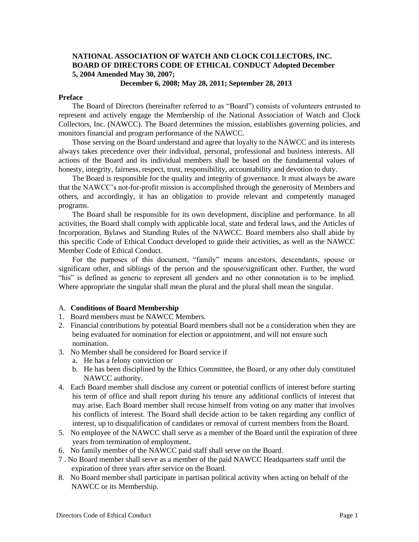# **NATIONAL ASSOCIATION OF WATCH AND CLOCK COLLECTORS, INC. BOARD OF DIRECTORS CODE OF ETHICAL CONDUCT Adopted December 5, 2004 Amended May 30, 2007;**

### **December 6, 2008; May 28, 2011; September 28, 2013**

### **Preface**

The Board of Directors (hereinafter referred to as "Board") consists of volunteers entrusted to represent and actively engage the Membership of the National Association of Watch and Clock Collectors, Inc. (NAWCC). The Board determines the mission, establishes governing policies, and monitors financial and program performance of the NAWCC.

Those serving on the Board understand and agree that loyalty to the NAWCC and its interests always takes precedence over their individual, personal, professional and business interests. All actions of the Board and its individual members shall be based on the fundamental values of honesty, integrity, fairness, respect, trust, responsibility, accountability and devotion to duty.

The Board is responsible for the quality and integrity of governance. It must always be aware that the NAWCC's not-for-profit mission is accomplished through the generosity of Members and others, and accordingly, it has an obligation to provide relevant and competently managed programs.

The Board shall be responsible for its own development, discipline and performance. In all activities, the Board shall comply with applicable local, state and federal laws, and the Articles of Incorporation, Bylaws and Standing Rules of the NAWCC. Board members also shall abide by this specific Code of Ethical Conduct developed to guide their activities, as well as the NAWCC Member Code of Ethical Conduct.

For the purposes of this document, "family" means ancestors, descendants, spouse or significant other, and siblings of the person and the spouse/significant other. Further, the word "his" is defined as generic to represent all genders and no other connotation is to be implied. Where appropriate the singular shall mean the plural and the plural shall mean the singular.

### A. **Conditions of Board Membership**

- 1. Board members must be NAWCC Members.
- 2. Financial contributions by potential Board members shall not be a consideration when they are being evaluated for nomination for election or appointment, and will not ensure such nomination.
- 3. No Member shall be considered for Board service if
	- a. He has a felony conviction or
	- b. He has been disciplined by the Ethics Committee, the Board, or any other duly constituted NAWCC authority.
- 4. Each Board member shall disclose any current or potential conflicts of interest before starting his term of office and shall report during his tenure any additional conflicts of interest that may arise. Each Board member shall recuse himself from voting on any matter that involves his conflicts of interest. The Board shall decide action to be taken regarding any conflict of interest, up to disqualification of candidates or removal of current members from the Board.
- 5. No employee of the NAWCC shall serve as a member of the Board until the expiration of three years from termination of employment.
- 6. No family member of the NAWCC paid staff shall serve on the Board.
- 7 . No Board member shall serve as a member of the paid NAWCC Headquarters staff until the expiration of three years after service on the Board.
- 8. No Board member shall participate in partisan political activity when acting on behalf of the NAWCC or its Membership.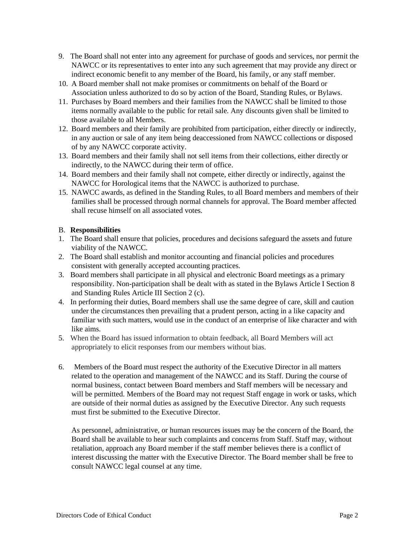- 9. The Board shall not enter into any agreement for purchase of goods and services, nor permit the NAWCC or its representatives to enter into any such agreement that may provide any direct or indirect economic benefit to any member of the Board, his family, or any staff member.
- 10. A Board member shall not make promises or commitments on behalf of the Board or Association unless authorized to do so by action of the Board, Standing Rules, or Bylaws.
- 11. Purchases by Board members and their families from the NAWCC shall be limited to those items normally available to the public for retail sale. Any discounts given shall be limited to those available to all Members.
- 12. Board members and their family are prohibited from participation, either directly or indirectly, in any auction or sale of any item being deaccessioned from NAWCC collections or disposed of by any NAWCC corporate activity.
- 13. Board members and their family shall not sell items from their collections, either directly or indirectly, to the NAWCC during their term of office.
- 14. Board members and their family shall not compete, either directly or indirectly, against the NAWCC for Horological items that the NAWCC is authorized to purchase.
- 15. NAWCC awards, as defined in the Standing Rules, to all Board members and members of their families shall be processed through normal channels for approval. The Board member affected shall recuse himself on all associated votes.

# B. **Responsibilities**

- 1. The Board shall ensure that policies, procedures and decisions safeguard the assets and future viability of the NAWCC.
- 2. The Board shall establish and monitor accounting and financial policies and procedures consistent with generally accepted accounting practices.
- 3. Board members shall participate in all physical and electronic Board meetings as a primary responsibility. Non-participation shall be dealt with as stated in the Bylaws Article I Section 8 and Standing Rules Article III Section 2 (c).
- 4. In performing their duties, Board members shall use the same degree of care, skill and caution under the circumstances then prevailing that a prudent person, acting in a like capacity and familiar with such matters, would use in the conduct of an enterprise of like character and with like aims.
- 5. When the Board has issued information to obtain feedback, all Board Members will act appropriately to elicit responses from our members without bias.
- 6. Members of the Board must respect the authority of the Executive Director in all matters related to the operation and management of the NAWCC and its Staff. During the course of normal business, contact between Board members and Staff members will be necessary and will be permitted. Members of the Board may not request Staff engage in work or tasks, which are outside of their normal duties as assigned by the Executive Director. Any such requests must first be submitted to the Executive Director.

As personnel, administrative, or human resources issues may be the concern of the Board, the Board shall be available to hear such complaints and concerns from Staff. Staff may, without retaliation, approach any Board member if the staff member believes there is a conflict of interest discussing the matter with the Executive Director. The Board member shall be free to consult NAWCC legal counsel at any time.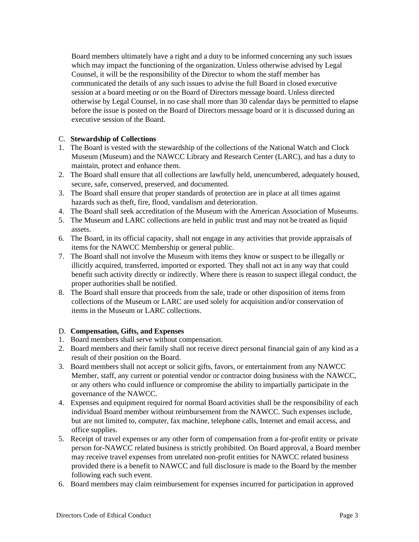Board members ultimately have a right and a duty to be informed concerning any such issues which may impact the functioning of the organization. Unless otherwise advised by Legal Counsel, it will be the responsibility of the Director to whom the staff member has communicated the details of any such issues to advise the full Board in closed executive session at a board meeting or on the Board of Directors message board. Unless directed otherwise by Legal Counsel, in no case shall more than 30 calendar days be permitted to elapse before the issue is posted on the Board of Directors message board or it is discussed during an executive session of the Board.

# C. **Stewardship of Collections**

- 1. The Board is vested with the stewardship of the collections of the National Watch and Clock Museum (Museum) and the NAWCC Library and Research Center (LARC), and has a duty to maintain, protect and enhance them.
- 2. The Board shall ensure that all collections are lawfully held, unencumbered, adequately housed, secure, safe, conserved, preserved, and documented.
- 3. The Board shall ensure that proper standards of protection are in place at all times against hazards such as theft, fire, flood, vandalism and deterioration.
- 4. The Board shall seek accreditation of the Museum with the American Association of Museums.
- 5. The Museum and LARC collections are held in public trust and may not be treated as liquid assets.
- 6. The Board, in its official capacity, shall not engage in any activities that provide appraisals of items for the NAWCC Membership or general public.
- 7. The Board shall not involve the Museum with items they know or suspect to be illegally or illicitly acquired, transferred, imported or exported. They shall not act in any way that could benefit such activity directly or indirectly. Where there is reason to suspect illegal conduct, the proper authorities shall be notified.
- 8. The Board shall ensure that proceeds from the sale, trade or other disposition of items from collections of the Museum or LARC are used solely for acquisition and/or conservation of items in the Museum or LARC collections.

# D. **Compensation, Gifts, and Expenses**

- 1. Board members shall serve without compensation.
- 2. Board members and their family shall not receive direct personal financial gain of any kind as a result of their position on the Board.
- 3. Board members shall not accept or solicit gifts, favors, or entertainment from any NAWCC Member, staff, any current or potential vendor or contractor doing business with the NAWCC, or any others who could influence or compromise the ability to impartially participate in the governance of the NAWCC.
- 4. Expenses and equipment required for normal Board activities shall be the responsibility of each individual Board member without reimbursement from the NAWCC. Such expenses include, but are not limited to, computer, fax machine, telephone calls, Internet and email access, and office supplies.
- 5. Receipt of travel expenses or any other form of compensation from a for-profit entity or private person for-NAWCC related business is strictly prohibited. On Board approval, a Board member may receive travel expenses from unrelated non-profit entities for NAWCC related business provided there is a benefit to NAWCC and full disclosure is made to the Board by the member following each such event.
- 6. Board members may claim reimbursement for expenses incurred for participation in approved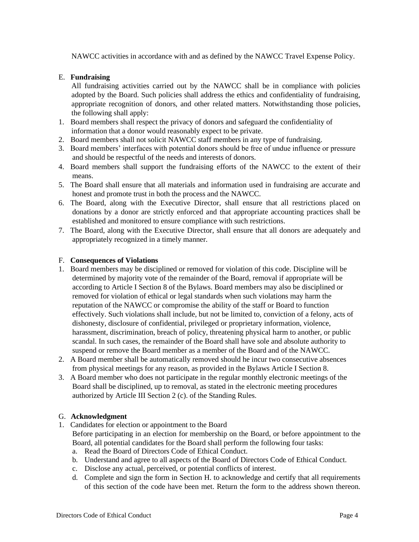NAWCC activities in accordance with and as defined by the NAWCC Travel Expense Policy.

# E. **Fundraising**

All fundraising activities carried out by the NAWCC shall be in compliance with policies adopted by the Board. Such policies shall address the ethics and confidentiality of fundraising, appropriate recognition of donors, and other related matters. Notwithstanding those policies, the following shall apply:

- 1. Board members shall respect the privacy of donors and safeguard the confidentiality of information that a donor would reasonably expect to be private.
- 2. Board members shall not solicit NAWCC staff members in any type of fundraising.
- 3. Board members' interfaces with potential donors should be free of undue influence or pressure and should be respectful of the needs and interests of donors.
- 4. Board members shall support the fundraising efforts of the NAWCC to the extent of their means.
- 5. The Board shall ensure that all materials and information used in fundraising are accurate and honest and promote trust in both the process and the NAWCC.
- 6. The Board, along with the Executive Director, shall ensure that all restrictions placed on donations by a donor are strictly enforced and that appropriate accounting practices shall be established and monitored to ensure compliance with such restrictions.
- 7. The Board, along with the Executive Director, shall ensure that all donors are adequately and appropriately recognized in a timely manner.

## F. **Consequences of Violations**

- 1. Board members may be disciplined or removed for violation of this code. Discipline will be determined by majority vote of the remainder of the Board, removal if appropriate will be according to Article I Section 8 of the Bylaws. Board members may also be disciplined or removed for violation of ethical or legal standards when such violations may harm the reputation of the NAWCC or compromise the ability of the staff or Board to function effectively. Such violations shall include, but not be limited to, conviction of a felony, acts of dishonesty, disclosure of confidential, privileged or proprietary information, violence, harassment, discrimination, breach of policy, threatening physical harm to another, or public scandal. In such cases, the remainder of the Board shall have sole and absolute authority to suspend or remove the Board member as a member of the Board and of the NAWCC.
- 2. A Board member shall be automatically removed should he incur two consecutive absences from physical meetings for any reason, as provided in the Bylaws Article I Section 8.
- 3. A Board member who does not participate in the regular monthly electronic meetings of the Board shall be disciplined, up to removal, as stated in the electronic meeting procedures authorized by Article III Section 2 (c). of the Standing Rules.

## G. **Acknowledgment**

- 1. Candidates for election or appointment to the Board Before participating in an election for membership on the Board, or before appointment to the Board, all potential candidates for the Board shall perform the following four tasks:
	- a. Read the Board of Directors Code of Ethical Conduct.
	- b. Understand and agree to all aspects of the Board of Directors Code of Ethical Conduct.
	- c. Disclose any actual, perceived, or potential conflicts of interest.
	- d. Complete and sign the form in Section H. to acknowledge and certify that all requirements of this section of the code have been met. Return the form to the address shown thereon.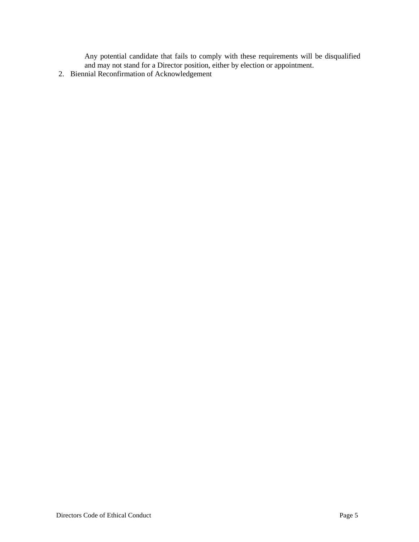Any potential candidate that fails to comply with these requirements will be disqualified and may not stand for a Director position, either by election or appointment.

2. Biennial Reconfirmation of Acknowledgement